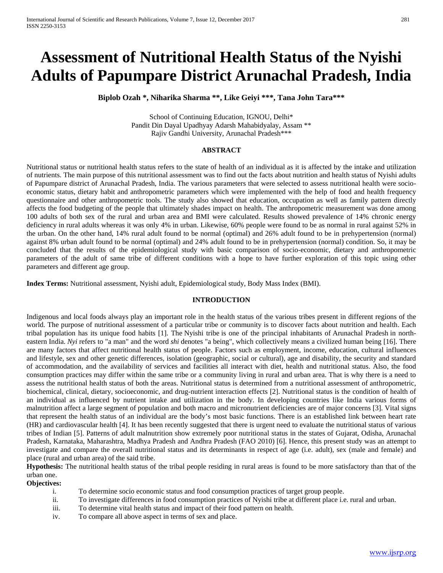# **Assessment of Nutritional Health Status of the Nyishi Adults of Papumpare District Arunachal Pradesh, India**

**Biplob Ozah \*, Niharika Sharma \*\*, Like Geiyi \*\*\*, Tana John Tara\*\*\***

School of Continuing Education, IGNOU, Delhi\* Pandit Din Dayal Upadhyay Adarsh Mahabidyalay, Assam \*\* Rajiv Gandhi University, Arunachal Pradesh\*\*\*

#### **ABSTRACT**

Nutritional status or nutritional health status refers to the state of health of an individual as it is affected by the intake and utilization of nutrients. The main purpose of this nutritional assessment was to find out the facts about nutrition and health status of Nyishi adults of Papumpare district of Arunachal Pradesh, India. The various parameters that were selected to assess nutritional health were socioeconomic status, dietary habit and anthropometric parameters which were implemented with the help of food and health frequency questionnaire and other anthropometric tools. The study also showed that education, occupation as well as family pattern directly affects the food budgeting of the people that ultimately shades impact on health. The anthropometric measurement was done among 100 adults of both sex of the rural and urban area and BMI were calculated. Results showed prevalence of 14% chronic energy deficiency in rural adults whereas it was only 4% in urban. Likewise, 60% people were found to be as normal in rural against 52% in the urban. On the other hand, 14% rural adult found to be normal (optimal) and 26% adult found to be in prehypertension (normal) against 8% urban adult found to be normal (optimal) and 24% adult found to be in prehypertension (normal) condition. So, it may be concluded that the results of the epidemiological study with basic comparison of socio-economic, dietary and anthropometric parameters of the adult of same tribe of different conditions with a hope to have further exploration of this topic using other parameters and different age group.

**Index Terms:** Nutritional assessment, Nyishi adult, Epidemiological study, Body Mass Index (BMI).

#### **INTRODUCTION**

Indigenous and local foods always play an important role in the health status of the various tribes present in different regions of the world. The purpose of nutritional assessment of a particular tribe or community is to discover facts about nutrition and health. Each tribal population has its unique food habits [1]. The Nyishi tribe is one of the principal inhabitants of [Arunachal Pradesh](https://en.wikipedia.org/wiki/Arunachal_Pradesh) in northeastern [India.](https://en.wikipedia.org/wiki/India) *Nyi* refers to "a man" and the word *shi* denotes "a being", which collectively means a civilized human being [16]. There are many factors that affect nutritional health status of people. Factors such as employment, income, education, cultural influences and lifestyle, sex and other genetic differences, isolation (geographic, social or cultural), age and disability, the security and standard of accommodation, and the availability of services and facilities all interact with diet, health and nutritional status. Also, the food consumption practices may differ within the same tribe or a community living in rural and urban area. That is why there is a need to assess the nutritional health status of both the areas. Nutritional status is determined from a nutritional assessment of anthropometric, biochemical, clinical, dietary, socioeconomic, and drug-nutrient interaction effects [2]. Nutritional status is the condition of health of an individual as influenced by nutrient intake and utilization in the body. In developing countries like India various forms of malnutrition affect a large segment of population and both macro and micronutrient deficiencies are of major concerns [3]. Vital signs that represent the health status of an individual are the body's most basic functions. There is an established link between heart rate (HR) and cardiovascular health [4]. It has been recently suggested that there is urgent need to evaluate the nutritional status of various tribes of Indian [5]. Patterns of adult malnutrition show extremely poor nutritional status in the states of Gujarat, Odisha, Arunachal Pradesh, Karnataka, Maharashtra, Madhya Pradesh and Andhra Pradesh (FAO 2010) [6]. Hence, this present study was an attempt to investigate and compare the overall nutritional status and its determinants in respect of age (i.e. adult), sex (male and female) and place (rural and urban area) of the said tribe.

**Hypothesis:** The nutritional health status of the tribal people residing in rural areas is found to be more satisfactory than that of the urban one.

#### **Objectives:**

- i. To determine socio economic status and food consumption practices of target group people.
- ii. To investigate differences in food consumption practices of Nyishi tribe at different place i.e. rural and urban.
- iii. To determine vital health status and impact of their food pattern on health.
- iv. To compare all above aspect in terms of sex and place.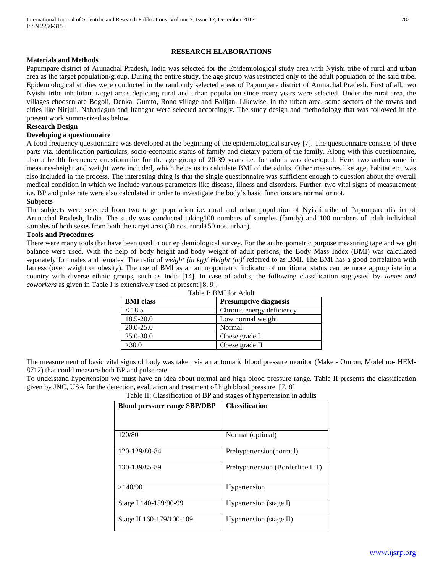# **RESEARCH ELABORATIONS**

# **Materials and Methods**

Papumpare district of Arunachal Pradesh, India was selected for the Epidemiological study area with Nyishi tribe of rural and urban area as the target population/group. During the entire study, the age group was restricted only to the adult population of the said tribe. Epidemiological studies were conducted in the randomly selected areas of Papumpare district of Arunachal Pradesh. First of all, two Nyishi tribe inhabitant target areas depicting rural and urban population since many years were selected. Under the rural area, the villages choosen are Bogoli, Denka, Gumto, Rono village and Balijan. Likewise, in the urban area, some sectors of the towns and cities like Nirjuli, Naharlagun and Itanagar were selected accordingly. The study design and methodology that was followed in the present work summarized as below.

# **Research Design**

# **Developing a questionnaire**

A food frequency questionnaire was developed at the beginning of the epidemiological survey [7]. The questionnaire consists of three parts viz. identification particulars, socio-economic status of family and dietary pattern of the family. Along with this questionnaire, also a health frequency questionnaire for the age group of 20-39 years i.e. for adults was developed. Here, two anthropometric measures-height and weight were included, which helps us to calculate BMI of the adults. Other measures like age, habitat etc. was also included in the process. The interesting thing is that the single questionnaire was sufficient enough to question about the overall medical condition in which we include various parameters like disease, illness and disorders. Further, two vital signs of measurement i.e. BP and pulse rate were also calculated in order to investigate the body's basic functions are normal or not.

### **Subjects**

The subjects were selected from two target population i.e. rural and urban population of Nyishi tribe of Papumpare district of Arunachal Pradesh, India. The study was conducted taking100 numbers of samples (family) and 100 numbers of adult individual samples of both sexes from both the target area (50 nos. rural+50 nos. urban).

# **Tools and Procedures**

There were many tools that have been used in our epidemiological survey. For the anthropometric purpose measuring tape and weight balance were used. With the help of body height and body weight of adult persons, the Body Mass Index (BMI) was calculated separately for males and females. The ratio of *weight (in kg)/ Height (m)<sup>2</sup>* referred to as BMI. The BMI has a good correlation with fatness (over weight or obesity). The use of BMI as an anthropometric indicator of nutritional status can be more appropriate in a country with diverse ethnic groups, such as India [14]. In case of adults, the following classification suggested by *James and coworkers* as given in Table I is extensively used at present [8, 9].

| Table I: BMI for Adult |                              |  |  |  |  |  |
|------------------------|------------------------------|--|--|--|--|--|
| <b>BMI</b> class       | <b>Presumptive diagnosis</b> |  |  |  |  |  |
| < 18.5                 | Chronic energy deficiency    |  |  |  |  |  |
| 18.5-20.0              | Low normal weight            |  |  |  |  |  |
| $20.0 - 25.0$          | Normal                       |  |  |  |  |  |
| $25.0 - 30.0$          | Obese grade I                |  |  |  |  |  |
| >30.0                  | Obese grade II               |  |  |  |  |  |

The measurement of basic vital signs of body was taken via an automatic blood pressure monitor (Make - Omron, Model no- HEM-8712) that could measure both BP and pulse rate.

To understand hypertension we must have an idea about normal and high blood pressure range. Table II presents the classification given by JNC, USA for the detection, evaluation and treatment of high blood pressure. [7, 8]

Table II: Classification of BP and stages of hypertension in adults

| <b>Blood pressure range SBP/DBP</b> | <b>Classification</b>           |
|-------------------------------------|---------------------------------|
|                                     |                                 |
| 120/80                              | Normal (optimal)                |
| 120-129/80-84                       | Prehypertension(normal)         |
| 130-139/85-89                       | Prehypertension (Borderline HT) |
| >140/90                             | Hypertension                    |
| Stage I 140-159/90-99               | Hypertension (stage I)          |
| Stage II 160-179/100-109            | Hypertension (stage II)         |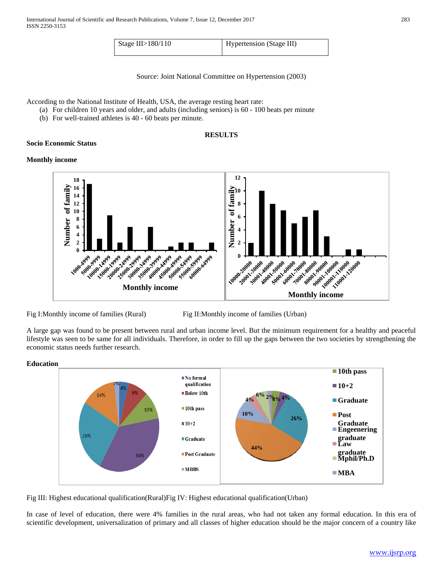| Stage III $>180/110$ | Hypertension (Stage III) |
|----------------------|--------------------------|

Source: Joint National Committee on Hypertension (2003)

According to the National Institute of Health, USA, the average resting heart rate:

- (a) For children 10 years and older, and adults (including seniors) is 60 100 beats per minute
- (b) For well-trained athletes is 40 60 beats per minute.

# **RESULTS**

# **Socio Economic Status**

### **Monthly income**



Fig I:Monthly income of families (Rural) Fig II:Monthly income of families (Urban)

A large gap was found to be present between rural and urban income level. But the minimum requirement for a healthy and peaceful lifestyle was seen to be same for all individuals. Therefore, in order to fill up the gaps between the two societies by strengthening the economic status needs further research.



Fig III: Highest educational qualification(Rural)Fig IV: Highest educational qualification(Urban)

In case of level of education, there were 4% families in the rural areas, who had not taken any formal education. In this era of scientific development, universalization of primary and all classes of higher education should be the major concern of a country like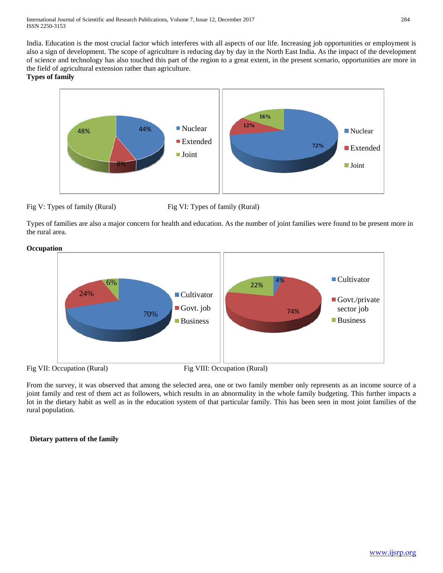India. Education is the most crucial factor which interferes with all aspects of our life. Increasing job opportunities or employment is also a sign of development. The scope of agriculture is reducing day by day in the North East India. As the impact of the development of science and technology has also touched this part of the region to a great extent, in the present scenario, opportunities are more in the field of agricultural extension rather than agriculture.

# **Types of family**



Fig V: Types of family (Rural) Fig VI: Types of family (Rural)

Types of families are also a major concern for health and education. As the number of joint families were found to be present more in the rural area.



From the survey, it was observed that among the selected area, one or two family member only represents as an income source of a joint family and rest of them act as followers, which results in an abnormality in the whole family budgeting. This further impacts a lot in the dietary habit as well as in the education system of that particular family. This has been seen in most joint families of the rural population.

# **Dietary pattern of the family**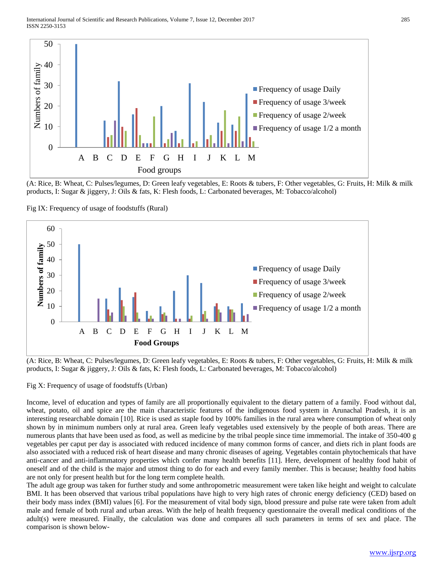

(A: Rice, B: Wheat, C: Pulses/legumes, D: Green leafy vegetables, E: Roots & tubers, F: Other vegetables, G: Fruits, H: Milk & milk products, I: Sugar & jiggery, J: Oils & fats, K: Flesh foods, L: Carbonated beverages, M: Tobacco/alcohol)

Fig IX: Frequency of usage of foodstuffs (Rural)



(A: Rice, B: Wheat, C: Pulses/legumes, D: Green leafy vegetables, E: Roots & tubers, F: Other vegetables, G: Fruits, H: Milk & milk products, I: Sugar & jiggery, J: Oils & fats, K: Flesh foods, L: Carbonated beverages, M: Tobacco/alcohol)

Fig X: Frequency of usage of foodstuffs (Urban)

Income, level of education and types of family are all proportionally equivalent to the dietary pattern of a family. Food without dal, wheat, potato, oil and spice are the main characteristic features of the indigenous food system in Arunachal Pradesh, it is an interesting researchable domain [10]. Rice is used as staple food by 100% families in the rural area where consumption of wheat only shown by in minimum numbers only at rural area. Green leafy vegetables used extensively by the people of both areas. There are numerous plants that have been used as food, as well as medicine by the tribal people since time immemorial. The intake of 350-400 g vegetables per caput per day is associated with reduced incidence of many common forms of cancer, and diets rich in plant foods are also associated with a reduced risk of heart disease and many chronic diseases of ageing. Vegetables contain phytochemicals that have anti-cancer and anti-inflammatory properties which confer many health benefits [11]. Here, development of healthy food habit of oneself and of the child is the major and utmost thing to do for each and every family member. This is because; healthy food habits are not only for present health but for the long term complete health.

The adult age group was taken for further study and some anthropometric measurement were taken like height and weight to calculate BMI. It has been observed that various tribal populations have high to very high rates of chronic energy deficiency (CED) based on their body mass index (BMI) values [6]. For the measurement of vital body sign, blood pressure and pulse rate were taken from adult male and female of both rural and urban areas. With the help of health frequency questionnaire the overall medical conditions of the adult(s) were measured. Finally, the calculation was done and compares all such parameters in terms of sex and place. The comparison is shown below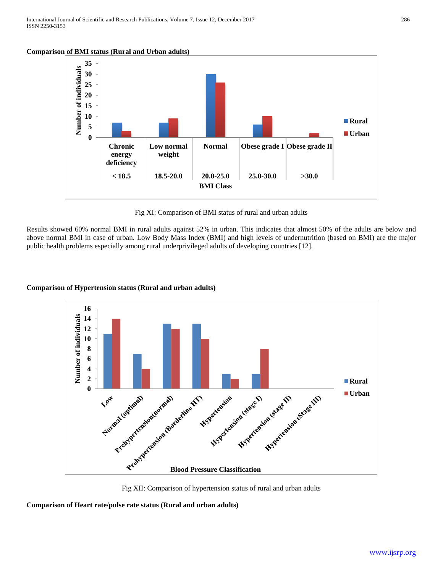**Comparison of BMI status (Rural and Urban adults)**



Fig XI: Comparison of BMI status of rural and urban adults

Results showed 60% normal BMI in rural adults against 52% in urban. This indicates that almost 50% of the adults are below and above normal BMI in case of urban. Low Body Mass Index (BMI) and high levels of undernutrition (based on BMI) are the major public health problems especially among rural underprivileged adults of developing countries [12].

# **Comparison of Hypertension status (Rural and urban adults)**



Fig XII: Comparison of hypertension status of rural and urban adults

**Comparison of Heart rate/pulse rate status (Rural and urban adults)**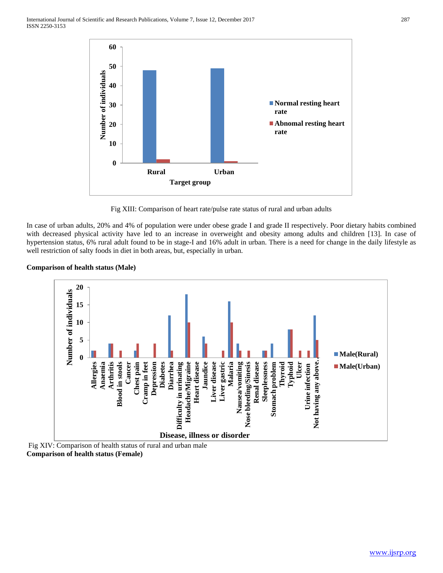

Fig XIII: Comparison of heart rate/pulse rate status of rural and urban adults

In case of urban adults, 20% and 4% of population were under obese grade I and grade II respectively. Poor dietary habits combined with decreased physical activity have led to an increase in overweight and obesity among adults and children [13]. In case of hypertension status, 6% rural adult found to be in stage-I and 16% adult in urban. There is a need for change in the daily lifestyle as well restriction of salty foods in diet in both areas, but, especially in urban.

# **Comparison of health status (Male)**



Fig XIV: Comparison of health status of rural and urban male **Comparison of health status (Female)**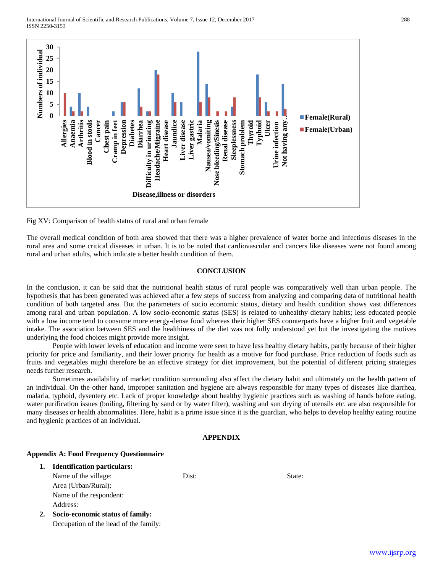

Fig XV: Comparison of health status of rural and urban female

The overall medical condition of both area showed that there was a higher prevalence of water borne and infectious diseases in the rural area and some critical diseases in urban. It is to be noted that cardiovascular and cancers like diseases were not found among rural and urban adults, which indicate a better health condition of them.

#### **CONCLUSION**

In the conclusion, it can be said that the nutritional health status of rural people was comparatively well than urban people. The hypothesis that has been generated was achieved after a few steps of success from analyzing and comparing data of nutritional health condition of both targeted area. But the parameters of socio economic status, dietary and health condition shows vast differences among rural and urban population. A low socio-economic status (SES) is related to unhealthy dietary habits; less educated people with a low income tend to consume more energy-dense food whereas their higher SES counterparts have a higher fruit and vegetable intake. The association between SES and the healthiness of the diet was not fully understood yet but the investigating the motives underlying the food choices might provide more insight.

People with lower levels of education and income were seen to have less healthy dietary habits, partly because of their higher priority for price and familiarity, and their lower priority for health as a motive for food purchase. Price reduction of foods such as fruits and vegetables might therefore be an effective strategy for diet improvement, but the potential of different pricing strategies needs further research.

Sometimes availability of market condition surrounding also affect the dietary habit and ultimately on the health pattern of an individual. On the other hand, improper sanitation and hygiene are always responsible for many types of diseases like diarrhea, malaria, typhoid, dysentery etc. Lack of proper knowledge about healthy hygienic practices such as washing of hands before eating, water purification issues (boiling, filtering by sand or by water filter), washing and sun drying of utensils etc. are also responsible for many diseases or health abnormalities. Here, habit is a prime issue since it is the guardian, who helps to develop healthy eating routine and hygienic practices of an individual.

#### **APPENDIX**

#### **Appendix A: Food Frequency Questionnaire**

| 1. | <b>Identification particulars:</b>    |       |        |  |
|----|---------------------------------------|-------|--------|--|
|    | Name of the village:                  | Dist: | State: |  |
|    | Area (Urban/Rural):                   |       |        |  |
|    | Name of the respondent:               |       |        |  |
|    | Address:                              |       |        |  |
| 2. | Socio-economic status of family:      |       |        |  |
|    | Occupation of the head of the family: |       |        |  |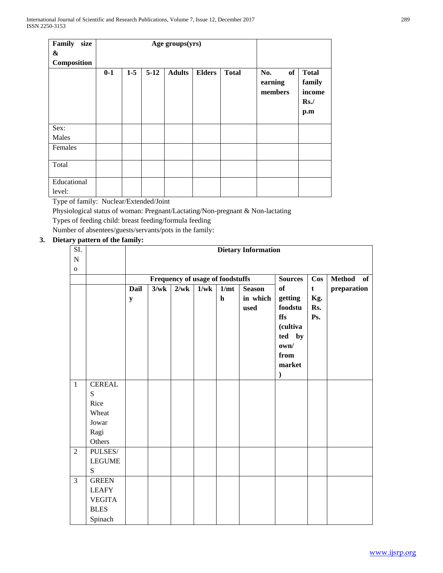| Family<br>size        |       |       | Age groups(yrs) |               |               |              |                                 |                                                |
|-----------------------|-------|-------|-----------------|---------------|---------------|--------------|---------------------------------|------------------------------------------------|
| &                     |       |       |                 |               |               |              |                                 |                                                |
| Composition           |       |       |                 |               |               |              |                                 |                                                |
|                       | $0-1$ | $1-5$ | $5 - 12$        | <b>Adults</b> | <b>Elders</b> | <b>Total</b> | of<br>No.<br>earning<br>members | <b>Total</b><br>family<br>income<br>Rs.<br>p.m |
| Sex:                  |       |       |                 |               |               |              |                                 |                                                |
| Males                 |       |       |                 |               |               |              |                                 |                                                |
| Females               |       |       |                 |               |               |              |                                 |                                                |
| Total                 |       |       |                 |               |               |              |                                 |                                                |
| Educational<br>level: |       |       |                 |               |               |              |                                 |                                                |

Type of family: Nuclear/Extended/Joint

Physiological status of woman: Pregnant/Lactating/Non-pregnant & Non-lactating

Types of feeding child: breast feeding/formula feeding

Number of absentees/guests/servants/pots in the family:

# **3. Dietary pattern of the family:**

| $\overline{SI}$ . |               | <b>Dietary Information</b> |      |                                  |      |                     |                                   |                                                                                               |                                  |             |  |
|-------------------|---------------|----------------------------|------|----------------------------------|------|---------------------|-----------------------------------|-----------------------------------------------------------------------------------------------|----------------------------------|-------------|--|
| ${\bf N}$         |               |                            |      |                                  |      |                     |                                   |                                                                                               |                                  |             |  |
| ${\bf O}$         |               |                            |      |                                  |      |                     |                                   |                                                                                               |                                  |             |  |
|                   |               |                            |      | Frequency of usage of foodstuffs |      | <b>Sources</b>      | $\cos$                            | <b>Method</b><br><b>of</b>                                                                    |                                  |             |  |
|                   |               | <b>Dail</b><br>${\bf y}$   | 3/wk | 2/wk                             | 1/wk | 1/mt<br>$\mathbf h$ | <b>Season</b><br>in which<br>used | of<br>getting<br>$\boldsymbol{\mathit{foodstu}}$<br>ffs<br>(cultiva<br>ted by<br>own/<br>from | $\mathbf t$<br>Kg.<br>Rs.<br>Ps. | preparation |  |
|                   |               |                            |      |                                  |      |                     |                                   | market<br>$\lambda$                                                                           |                                  |             |  |
| $\mathbf{1}$      | <b>CEREAL</b> |                            |      |                                  |      |                     |                                   |                                                                                               |                                  |             |  |
|                   | S             |                            |      |                                  |      |                     |                                   |                                                                                               |                                  |             |  |
|                   | Rice          |                            |      |                                  |      |                     |                                   |                                                                                               |                                  |             |  |
|                   | Wheat         |                            |      |                                  |      |                     |                                   |                                                                                               |                                  |             |  |
|                   | Jowar         |                            |      |                                  |      |                     |                                   |                                                                                               |                                  |             |  |
|                   | Ragi          |                            |      |                                  |      |                     |                                   |                                                                                               |                                  |             |  |
|                   | Others        |                            |      |                                  |      |                     |                                   |                                                                                               |                                  |             |  |
| $\overline{2}$    | PULSES/       |                            |      |                                  |      |                     |                                   |                                                                                               |                                  |             |  |
|                   | <b>LEGUME</b> |                            |      |                                  |      |                     |                                   |                                                                                               |                                  |             |  |
|                   | S             |                            |      |                                  |      |                     |                                   |                                                                                               |                                  |             |  |
| $\overline{3}$    | <b>GREEN</b>  |                            |      |                                  |      |                     |                                   |                                                                                               |                                  |             |  |
|                   | <b>LEAFY</b>  |                            |      |                                  |      |                     |                                   |                                                                                               |                                  |             |  |
|                   | <b>VEGITA</b> |                            |      |                                  |      |                     |                                   |                                                                                               |                                  |             |  |
|                   | <b>BLES</b>   |                            |      |                                  |      |                     |                                   |                                                                                               |                                  |             |  |
|                   | Spinach       |                            |      |                                  |      |                     |                                   |                                                                                               |                                  |             |  |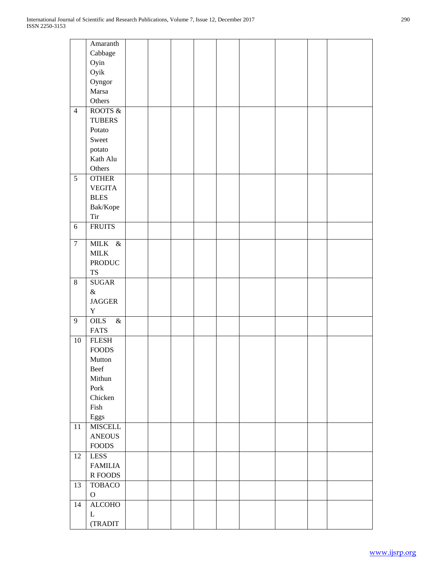|                | Amaranth        |  |  |  |  |  |
|----------------|-----------------|--|--|--|--|--|
|                |                 |  |  |  |  |  |
|                | Cabbage         |  |  |  |  |  |
|                | Oyin            |  |  |  |  |  |
|                | Oyik            |  |  |  |  |  |
|                | Oyngor          |  |  |  |  |  |
|                | Marsa           |  |  |  |  |  |
|                | Others          |  |  |  |  |  |
| $\overline{4}$ | ROOTS &         |  |  |  |  |  |
|                | <b>TUBERS</b>   |  |  |  |  |  |
|                |                 |  |  |  |  |  |
|                | Potato          |  |  |  |  |  |
|                | Sweet           |  |  |  |  |  |
|                | potato          |  |  |  |  |  |
|                | Kath Alu        |  |  |  |  |  |
|                | Others          |  |  |  |  |  |
| $\sqrt{5}$     | <b>OTHER</b>    |  |  |  |  |  |
|                | <b>VEGITA</b>   |  |  |  |  |  |
|                | <b>BLES</b>     |  |  |  |  |  |
|                | Bak/Kope        |  |  |  |  |  |
|                | Tir             |  |  |  |  |  |
|                |                 |  |  |  |  |  |
| 6              | <b>FRUITS</b>   |  |  |  |  |  |
| $\overline{7}$ | MILK &          |  |  |  |  |  |
|                | $\text{MILK}{}$ |  |  |  |  |  |
|                | <b>PRODUC</b>   |  |  |  |  |  |
|                | <b>TS</b>       |  |  |  |  |  |
| $\,8\,$        | <b>SUGAR</b>    |  |  |  |  |  |
|                |                 |  |  |  |  |  |
|                | $\&$            |  |  |  |  |  |
|                | <b>JAGGER</b>   |  |  |  |  |  |
|                | $\mathbf Y$     |  |  |  |  |  |
| 9              | OILS<br>$\&$    |  |  |  |  |  |
|                | <b>FATS</b>     |  |  |  |  |  |
| $10\,$         | <b>FLESH</b>    |  |  |  |  |  |
|                | <b>FOODS</b>    |  |  |  |  |  |
|                | Mutton          |  |  |  |  |  |
|                | Beef            |  |  |  |  |  |
|                | Mithun          |  |  |  |  |  |
|                | Pork            |  |  |  |  |  |
|                | Chicken         |  |  |  |  |  |
|                |                 |  |  |  |  |  |
|                | Fish            |  |  |  |  |  |
|                | Eggs            |  |  |  |  |  |
| 11             | <b>MISCELL</b>  |  |  |  |  |  |
|                | <b>ANEOUS</b>   |  |  |  |  |  |
|                | <b>FOODS</b>    |  |  |  |  |  |
| 12             | <b>LESS</b>     |  |  |  |  |  |
|                | <b>FAMILIA</b>  |  |  |  |  |  |
|                | R FOODS         |  |  |  |  |  |
| 13             | <b>TOBACO</b>   |  |  |  |  |  |
|                | $\mathbf O$     |  |  |  |  |  |
| 14             | <b>ALCOHO</b>   |  |  |  |  |  |
|                | L               |  |  |  |  |  |
|                |                 |  |  |  |  |  |
|                | (TRADIT         |  |  |  |  |  |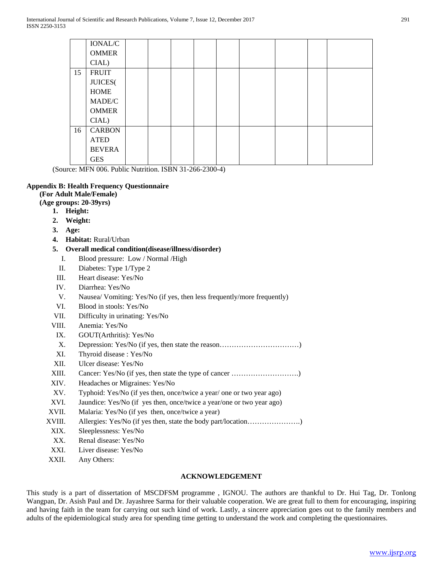|    | IONAL/C       |  |  |  |  |  |
|----|---------------|--|--|--|--|--|
|    | <b>OMMER</b>  |  |  |  |  |  |
|    | CIAL)         |  |  |  |  |  |
| 15 | <b>FRUIT</b>  |  |  |  |  |  |
|    | JUICES(       |  |  |  |  |  |
|    | <b>HOME</b>   |  |  |  |  |  |
|    | MADE/C        |  |  |  |  |  |
|    | <b>OMMER</b>  |  |  |  |  |  |
|    | CIAL)         |  |  |  |  |  |
| 16 | <b>CARBON</b> |  |  |  |  |  |
|    | <b>ATED</b>   |  |  |  |  |  |
|    | <b>BEVERA</b> |  |  |  |  |  |
|    | <b>GES</b>    |  |  |  |  |  |

(Source: MFN 006. Public Nutrition. ISBN 31-266-2300-4)

### **Appendix B: Health Frequency Questionnaire**

### **(For Adult Male/Female)**

**(Age groups: 20-39yrs)**

- **1. Height:**
- **2. Weight:**
- **3. Age:**
- **4. Habitat:** Rural/Urban

### **5. Overall medical condition(disease/illness/disorder)**

- I. Blood pressure: Low / Normal /High
- II. Diabetes: Type 1/Type 2
- III. Heart disease: Yes/No
- IV. Diarrhea: Yes/No
- V. Nausea/ Vomiting: Yes/No (if yes, then less frequently/more frequently)
- VI. Blood in stools: Yes/No
- VII. Difficulty in urinating: Yes/No
- VIII. Anemia: Yes/No
- IX. GOUT(Arthritis): Yes/No
- X. Depression: Yes/No (if yes, then state the reason……………………………)
- XI. Thyroid disease : Yes/No
- XII. Ulcer disease: Yes/No
- XIII. Cancer: Yes/No (if yes, then state the type of cancer ……………………….)
- XIV. Headaches or Migraines: Yes/No
- XV. Typhoid: Yes/No (if yes then, once/twice a year/ one or two year ago)
- XVI. Jaundice: Yes/No (if yes then, once/twice a year/one or two year ago)
- XVII. Malaria: Yes/No (if yes then, once/twice a year)
- XVIII. Allergies: Yes/No (if yes then, state the body part/location………………….)
- XIX. Sleeplessness: Yes/No
- XX. Renal disease: Yes/No
- XXI. Liver disease: Yes/No
- XXII. Any Others:

# **ACKNOWLEDGEMENT**

This study is a part of dissertation of MSCDFSM programme , IGNOU. The authors are thankful to Dr. Hui Tag, Dr. Tonlong Wangpan, Dr. Asish Paul and Dr. Jayashree Sarma for their valuable cooperation. We are great full to them for encouraging, inspiring and having faith in the team for carrying out such kind of work. Lastly, a sincere appreciation goes out to the family members and adults of the epidemiological study area for spending time getting to understand the work and completing the questionnaires.